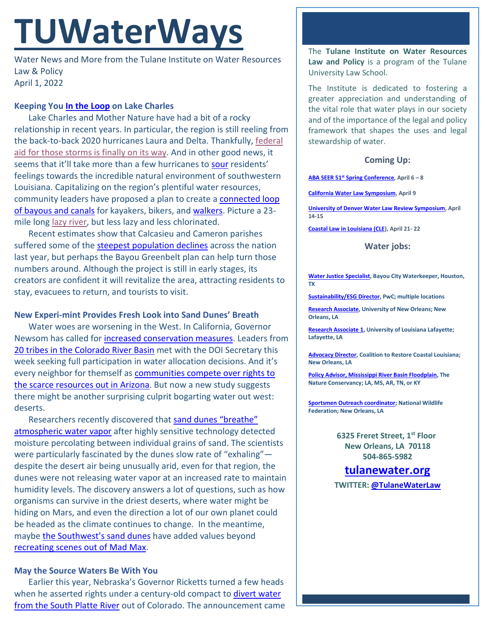# **TUWaterWays**

Water News and More from the Tulane Institute on Water Resources Law & Policy April 1, 2022

### **Keeping You [In the Loop](https://www.youtube.com/watch?v=yJU2qRg5zLI) on Lake Charles**

Lake Charles and Mother Nature have had a bit of a rocky relationship in recent years. In particular, the region is still reeling from the back-to-back 2020 hurricanes Laura and Delta. Thankfully[, federal](https://www.theadvocate.com/lake_charles/article_35f7763a-a967-11ec-adfe-8b98a53f421e.html)  [aid for those storms is finally on its way.](https://www.theadvocate.com/lake_charles/article_35f7763a-a967-11ec-adfe-8b98a53f421e.html) And in other good news, it seems that it'll take more than a few hurricanes to [sour](https://media.giphy.com/media/l4FGr3nzq5u0m02vm/giphy-downsized-large.gif) residents' feelings towards the incredible natural environment of southwestern Louisiana. Capitalizing on the region's plentiful water resources, community leaders have proposed a plan to create a [connected loop](https://www.theadvocate.com/lake_charles/article_7d2a502c-ac73-11ec-aa06-5ba1fc092efa.html)  [of bayous and canals](https://www.theadvocate.com/lake_charles/article_7d2a502c-ac73-11ec-aa06-5ba1fc092efa.html) for kayakers, bikers, and [walkers.](https://www.youtube.com/watch?v=4PkcfQtibmU) Picture a 23 mile long [lazy river,](https://www.youtube.com/watch?v=9rBBRePqMXg) but less lazy and less chlorinated.

Recent estimates show that Calcasieu and Cameron parishes suffered some of the [steepest population declines](https://www.theadvocate.com/lake_charles/article_44d67698-abb4-11ec-9763-a70b7b6adfc4.html) across the nation last year, but perhaps the Bayou Greenbelt plan can help turn those numbers around. Although the project is still in early stages, its creators are confident it will revitalize the area, attracting residents to stay, evacuees to return, and tourists to visit.

#### **New Experi-mint Provides Fresh Look into Sand Dunes' Breath**

Water woes are worsening in the West. In California, Governor Newsom has called for [increased conservation measures.](https://thehill.com/policy/equilibrium-sustainability/600116-newsom-issues-order-tightening-water-conservation-amid/) Leaders from [20 tribes in the Colorado River Basin](https://www.knau.org/knau-and-arizona-news/2022-03-30/tribal-leaders-push-for-more-involvement-in-federal-water-policymaking) met with the DOI Secretary this week seeking full participation in water allocation decisions. And it's every neighbor for themself as [communities compete](https://www.cnn.com/2022/03/30/us/arizona-drought-water-cuts-climate/index.html) over rights to [the scarce resources out in Arizona.](https://www.cnn.com/2022/03/30/us/arizona-drought-water-cuts-climate/index.html) But now a new study suggests there might be another surprising culprit bogarting water out west: deserts.

Researchers recently discovered that [sand dunes "breathe"](https://www.sciencealert.com/super-sensitive-probe-shows-sand-dunes-can-inhale-and-exhale-water-vapor)  [atmospheric water vapor](https://www.sciencealert.com/super-sensitive-probe-shows-sand-dunes-can-inhale-and-exhale-water-vapor) after highly sensitive technology detected moisture percolating between individual grains of sand. The scientists were particularly fascinated by the dunes slow rate of "exhaling" despite the desert air being unusually arid, even for that region, the dunes were not releasing water vapor at an increased rate to maintain humidity levels. The discovery answers a lot of questions, such as how organisms can survive in the driest deserts, where water might be hiding on Mars, and even the direction a lot of our own planet could be headed as the climate continues to change. In the meantime, maybe [the Southwest's sand dunes](https://www.travelawaits.com/2494377/sand-dunes-in-southwest/https:/www.travelawaits.com/2494377/sand-dunes-in-southwest/) have added values beyond recreating [scenes out of](https://www.youtube.com/watch?v=Mhsct3YavxQ) Mad Max.

## **May the Source Waters Be With You**

Earlier this year, Nebraska's Governor Ricketts turned a few heads when he asserted rights under a century-old compact to divert water [from the South Platte River](https://apnews.com/article/environment-and-nature-colorado-nebraska-pete-ricketts-lincoln-09a0defa3007dc59be595d073a3b7f0b) out of Colorado. The announcement came The **Tulane Institute on Water Resources Law and Policy** is a program of the Tulane University Law School.

The Institute is dedicated to fostering a greater appreciation and understanding of the vital role that water plays in our society and of the importance of the legal and policy framework that shapes the uses and legal stewardship of water.

### **Coming Up:**

**ABA SEER 51st [Spring Conference,](https://web.cvent.com/event/ea6dee84-227d-4bf5-8ee7-4b12deb77aa5/summary) April 6 – 8**

**[California Water Law Symposium,](https://www.waterlawsymposium.org/) April 9**

**[University of Denver Water Law Review Symposium,](https://www.duwaterlawreview.com/symposium) April 14-15**

**[Coastal Law in Louisiana \(CLE\)](https://www.theseminargroup.net/seminardetl.aspx?id=22.shrNO), April 21- 22**

#### **Water jobs:**

**[Water Justice Specialist,](https://bayoucitywaterkeeper.org/wp-content/uploads/2022/01/Water-Justice-Specialist.pdf) Bayou City Waterkeeper, Houston, TX**

**[Sustainability/ESG Director,](https://jobs.us.pwc.com/job/-/-/932/8531402784?utm_source=linkedin.com&utm_campaign=core_media&utm_medium=social_media&utm_content=job_posting&ss=paid&dclid=CIHN-by5yvMCFUvrwAodK4kFqw) PwC; multiple locations**

**[Research Associate,](https://ulsuno.wd1.myworkdayjobs.com/en-US/UniversityOfNewOrleans/job/New-Orleans-La/Research-Associate-1_R-000365) University of New Orleans; New Orleans, LA**

**[Research Associate 1,](https://louisiana.csod.com/ux/ats/careersite/1/home/requisition/1576?c=louisiana) University of Louisiana Lafayette; Lafayette, LA**

**[Advocacy Director,](https://www.crcl.org/_files/ugd/d2b7de_8fd72f2538bb45fba446d0afeb90d7a0.pdf) Coalition to Restore Coastal Louisiana; New Orleans, LA**

**[Policy Advisor, Mississippi River Basin Floodplain,](https://careers.nature.org/psc/tnccareers/APPLICANT/APPL/c/HRS_HRAM_FL.HRS_CG_SEARCH_FL.GBL?Page=HRS_APP_JBPST_FL&Action=U&FOCUS=Applicant&SiteId=1&JobOpeningId=51036&PostingSeq=1&PortalActualURL=https%3a%2f%2fcareers.nature.org%2fpsc%2ftnccareers%2fAPPLICANT%2fAPPL%2fc%2fHRS_HRAM_FL.HRS_CG_SEARCH_FL.GBL%3fPage%3dHRS_APP_JBPST_FL%26Action%3dU%26FOCUS%3dApplicant%26SiteId%3d1%26JobOpeningId%3d51036%26PostingSeq%3d1&PortalRegistryName=APPLICANT&PortalServletURI=https%3a%2f%2fcareers.nature.org%2fpsp%2ftnccareers%2f&PortalURI=https%3a%2f%2fcareers.nature.org%2fpsc%2ftnccareers%2f&PortalHostNode=APPL&NoCrumbs=yes&PortalKeyStruct=yes) The Nature Conservancy; LA, MS, AR, TN, or KY**

**[Sportsmen Outreach coordinator;](https://recruiting.ultipro.com/NAT1047NWF/JobBoard/1ca8346a-33cc-401d-90d9-d7f752fdfd7d/OpportunityDetail?opportunityId=6ab7c4a8-e58e-413c-9fee-065ae1e4aee2) National Wildlife Federation; New Orleans, LA**

> **6325 Freret Street, 1st Floor New Orleans, LA 70118 504-865-5982**

**tulanewater.org**

**TWITTER: [@TulaneWaterLaw](http://www.twitter.com/TulaneWaterLaw)**